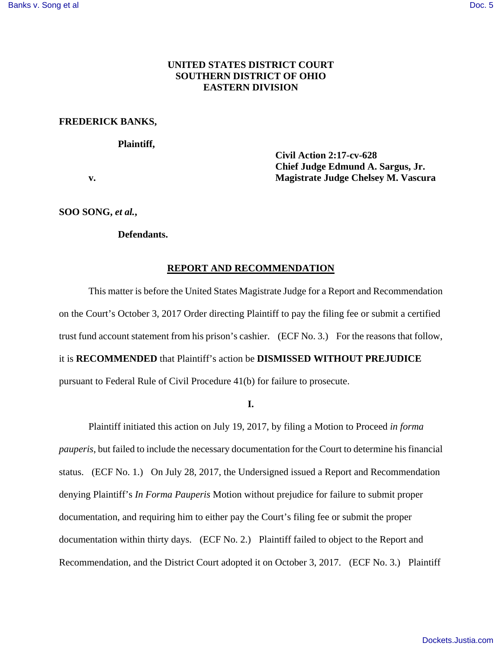# **UNITED STATES DISTRICT COURT SOUTHERN DISTRICT OF OHIO EASTERN DIVISION**

## **FREDERICK BANKS,**

### **Plaintiff,**

 **Civil Action 2:17-cv-628 Chief Judge Edmund A. Sargus, Jr. v. Magistrate Judge Chelsey M. Vascura** 

**SOO SONG,** *et al.***,** 

## **Defendants.**

#### **REPORT AND RECOMMENDATION**

This matter is before the United States Magistrate Judge for a Report and Recommendation on the Court's October 3, 2017 Order directing Plaintiff to pay the filing fee or submit a certified trust fund account statement from his prison's cashier. (ECF No. 3.) For the reasons that follow, it is **RECOMMENDED** that Plaintiff's action be **DISMISSED WITHOUT PREJUDICE** pursuant to Federal Rule of Civil Procedure 41(b) for failure to prosecute.

**I.**

 Plaintiff initiated this action on July 19, 2017, by filing a Motion to Proceed *in forma pauperis*, but failed to include the necessary documentation for the Court to determine his financial status. (ECF No. 1.) On July 28, 2017, the Undersigned issued a Report and Recommendation denying Plaintiff's *In Forma Pauperis* Motion without prejudice for failure to submit proper documentation, and requiring him to either pay the Court's filing fee or submit the proper documentation within thirty days. (ECF No. 2.) Plaintiff failed to object to the Report and Recommendation, and the District Court adopted it on October 3, 2017. (ECF No. 3.) Plaintiff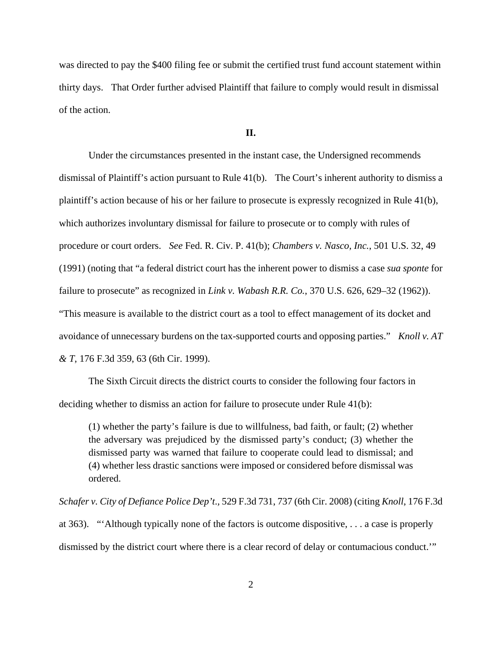was directed to pay the \$400 filing fee or submit the certified trust fund account statement within thirty days. That Order further advised Plaintiff that failure to comply would result in dismissal of the action.

### **II.**

Under the circumstances presented in the instant case, the Undersigned recommends dismissal of Plaintiff's action pursuant to Rule 41(b). The Court's inherent authority to dismiss a plaintiff's action because of his or her failure to prosecute is expressly recognized in Rule 41(b), which authorizes involuntary dismissal for failure to prosecute or to comply with rules of procedure or court orders. *See* Fed. R. Civ. P. 41(b); *Chambers v. Nasco, Inc.*, 501 U.S. 32, 49 (1991) (noting that "a federal district court has the inherent power to dismiss a case *sua sponte* for failure to prosecute" as recognized in *Link v. Wabash R.R. Co.*, 370 U.S. 626, 629–32 (1962)). "This measure is available to the district court as a tool to effect management of its docket and avoidance of unnecessary burdens on the tax-supported courts and opposing parties." *Knoll v. AT & T*, 176 F.3d 359, 63 (6th Cir. 1999).

 The Sixth Circuit directs the district courts to consider the following four factors in deciding whether to dismiss an action for failure to prosecute under Rule 41(b):

(1) whether the party's failure is due to willfulness, bad faith, or fault; (2) whether the adversary was prejudiced by the dismissed party's conduct; (3) whether the dismissed party was warned that failure to cooperate could lead to dismissal; and (4) whether less drastic sanctions were imposed or considered before dismissal was ordered.

*Schafer v. City of Defiance Police Dep't*.*,* 529 F.3d 731, 737 (6th Cir. 2008) (citing *Knoll*, 176 F.3d at 363). "'Although typically none of the factors is outcome dispositive, . . . a case is properly dismissed by the district court where there is a clear record of delay or contumacious conduct.'"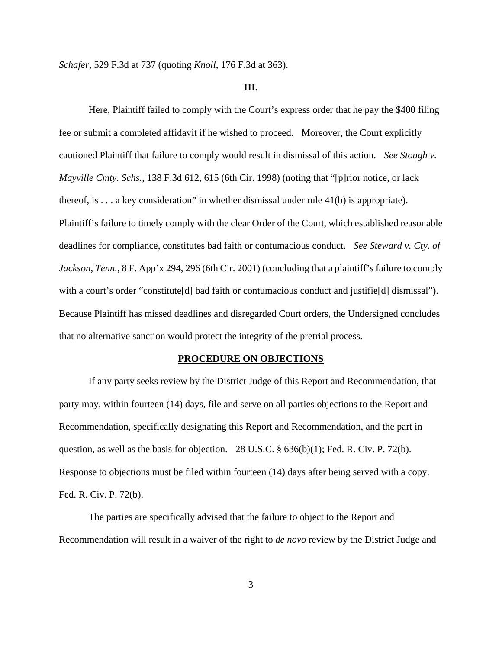*Schafer*, 529 F.3d at 737 (quoting *Knoll*, 176 F.3d at 363).

#### **III.**

 Here, Plaintiff failed to comply with the Court's express order that he pay the \$400 filing fee or submit a completed affidavit if he wished to proceed. Moreover, the Court explicitly cautioned Plaintiff that failure to comply would result in dismissal of this action. *See Stough v. Mayville Cmty. Schs.*, 138 F.3d 612, 615 (6th Cir. 1998) (noting that "[p]rior notice, or lack thereof, is  $\dots$  a key consideration" in whether dismissal under rule 41(b) is appropriate). Plaintiff's failure to timely comply with the clear Order of the Court, which established reasonable deadlines for compliance, constitutes bad faith or contumacious conduct. *See Steward v. Cty. of Jackson, Tenn.*, 8 F. App'x 294, 296 (6th Cir. 2001) (concluding that a plaintiff's failure to comply with a court's order "constitute [d] bad faith or contumacious conduct and justifie [d] dismissal"). Because Plaintiff has missed deadlines and disregarded Court orders, the Undersigned concludes that no alternative sanction would protect the integrity of the pretrial process.

#### **PROCEDURE ON OBJECTIONS**

 If any party seeks review by the District Judge of this Report and Recommendation, that party may, within fourteen (14) days, file and serve on all parties objections to the Report and Recommendation, specifically designating this Report and Recommendation, and the part in question, as well as the basis for objection. 28 U.S.C. § 636(b)(1); Fed. R. Civ. P. 72(b). Response to objections must be filed within fourteen (14) days after being served with a copy. Fed. R. Civ. P. 72(b).

 The parties are specifically advised that the failure to object to the Report and Recommendation will result in a waiver of the right to *de novo* review by the District Judge and